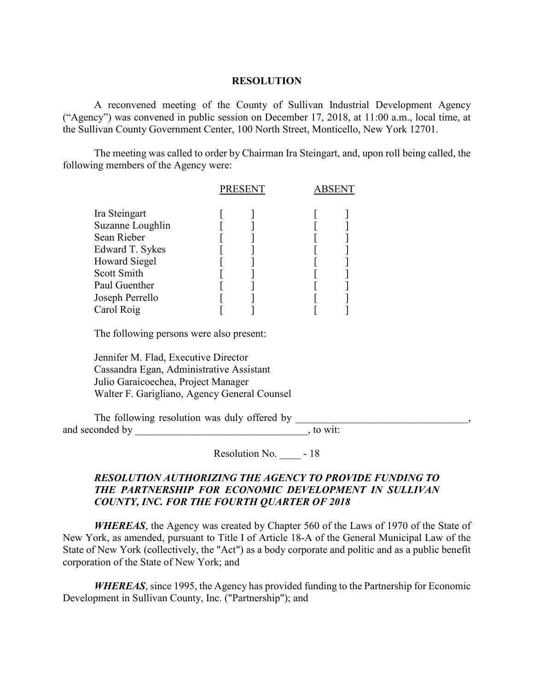#### **RESOLUTION**

A reconvened meeting of the County of Sullivan Industrial Development Agency ("Agency") was convened in public session on December 17, 2018, at 11:00 a.m., local time, at the Sullivan County Government Center, 100 North Street, Monticello, New York 12701.

The meeting was called to order by Chairman Ira Steingart, and, upon roll being called, the following members of the Agency were:

|                      | <b>PRESENT</b> |  | <b>ABSENT</b> |  |
|----------------------|----------------|--|---------------|--|
| Ira Steingart        |                |  |               |  |
| Suzanne Loughlin     |                |  |               |  |
| Sean Rieber          |                |  |               |  |
| Edward T. Sykes      |                |  |               |  |
| <b>Howard Siegel</b> |                |  |               |  |
| <b>Scott Smith</b>   |                |  |               |  |
| Paul Guenther        |                |  |               |  |
| Joseph Perrello      |                |  |               |  |
| Carol Roig           |                |  |               |  |

The following persons were also present:

Jennifer M. Flad, Executive Director Cassandra Egan, Administrative Assistant Julio Garaicoechea, Project Manager Walter F. Garigliano, Agency General Counsel

The following resolution was duly offered by and seconded by \_\_\_\_\_\_\_\_\_\_\_\_\_\_\_\_\_\_\_\_\_\_\_\_\_\_\_\_\_\_\_\_\_, to wit:

Resolution No.  $-18$ 

## *RESOLUTION AUTHORIZING THE AGENCY TO PROVIDE FUNDING TO THE PARTNERSHIP FOR ECONOMIC DEVELOPMENT IN SULLIVAN COUNTY, INC. FOR THE FOURTH QUARTER OF 2018*

*WHEREAS*, the Agency was created by Chapter 560 of the Laws of 1970 of the State of New York, as amended, pursuant to Title I of Article 18-A of the General Municipal Law of the State of New York (collectively, the "Act") as a body corporate and politic and as a public benefit corporation of the State of New York; and

*WHEREAS*, since 1995, the Agency has provided funding to the Partnership for Economic Development in Sullivan County, Inc. ("Partnership"); and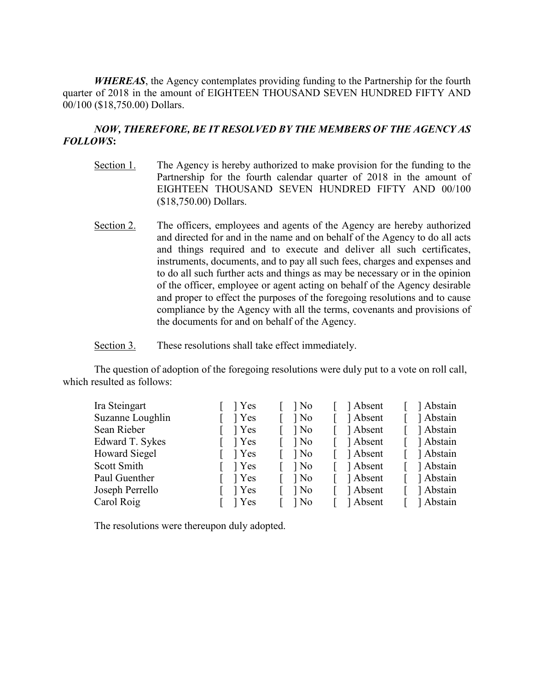*WHEREAS*, the Agency contemplates providing funding to the Partnership for the fourth quarter of 2018 in the amount of EIGHTEEN THOUSAND SEVEN HUNDRED FIFTY AND 00/100 (\$18,750.00) Dollars.

## *NOW, THEREFORE, BE IT RESOLVED BY THE MEMBERS OF THE AGENCY AS FOLLOWS***:**

- Section 1. The Agency is hereby authorized to make provision for the funding to the Partnership for the fourth calendar quarter of 2018 in the amount of EIGHTEEN THOUSAND SEVEN HUNDRED FIFTY AND 00/100 (\$18,750.00) Dollars.
- Section 2. The officers, employees and agents of the Agency are hereby authorized and directed for and in the name and on behalf of the Agency to do all acts and things required and to execute and deliver all such certificates, instruments, documents, and to pay all such fees, charges and expenses and to do all such further acts and things as may be necessary or in the opinion of the officer, employee or agent acting on behalf of the Agency desirable and proper to effect the purposes of the foregoing resolutions and to cause compliance by the Agency with all the terms, covenants and provisions of the documents for and on behalf of the Agency.

Section 3. These resolutions shall take effect immediately.

The question of adoption of the foregoing resolutions were duly put to a vote on roll call, which resulted as follows:

| Ira Steingart    | 1 Yes       | $\log$ | Absent   | 1 Abstain |
|------------------|-------------|--------|----------|-----------|
| Suzanne Loughlin | 1 Yes       | $\log$ | Absent   | Abstain   |
| Sean Rieber      | 1 Yes       | $\log$ | Absent   | Abstain   |
| Edward T. Sykes  | 1 Yes       | $\log$ | Absent   | Abstain   |
| Howard Siegel    | $\vert$ Yes | $\log$ | Absent   | 1 Abstain |
| Scott Smith      | 1 Yes       | $\log$ | Absent   | Abstain   |
| Paul Guenther    | 1 Yes       | $\log$ | Absent   | 1 Abstain |
| Joseph Perrello  | 1 Yes       | $\log$ | ] Absent | Abstain   |
| Carol Roig       | 1 Yes       | $\log$ | 1 Absent | Abstain   |

The resolutions were thereupon duly adopted.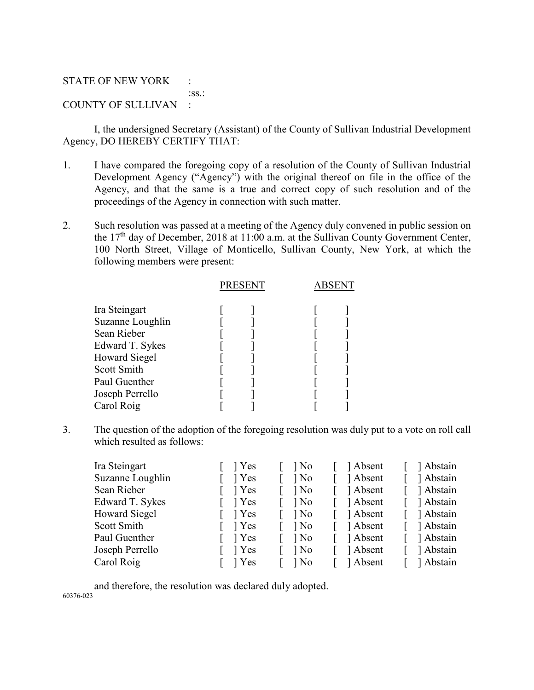#### STATE OF NEW YORK :

:ss.:

# COUNTY OF SULLIVAN :

I, the undersigned Secretary (Assistant) of the County of Sullivan Industrial Development Agency, DO HEREBY CERTIFY THAT:

- 1. I have compared the foregoing copy of a resolution of the County of Sullivan Industrial Development Agency ("Agency") with the original thereof on file in the office of the Agency, and that the same is a true and correct copy of such resolution and of the proceedings of the Agency in connection with such matter.
- 2. Such resolution was passed at a meeting of the Agency duly convened in public session on the 17th day of December, 2018 at 11:00 a.m. at the Sullivan County Government Center, 100 North Street, Village of Monticello, Sullivan County, New York, at which the following members were present:

|                      | <b>PRESENT</b> |  |  |
|----------------------|----------------|--|--|
| Ira Steingart        |                |  |  |
| Suzanne Loughlin     |                |  |  |
| Sean Rieber          |                |  |  |
| Edward T. Sykes      |                |  |  |
| <b>Howard Siegel</b> |                |  |  |
| Scott Smith          |                |  |  |
| Paul Guenther        |                |  |  |
| Joseph Perrello      |                |  |  |
| Carol Roig           |                |  |  |

3. The question of the adoption of the foregoing resolution was duly put to a vote on roll call which resulted as follows:

| Ira Steingart        | 1 Yes | $\log$ | 1 Absent   | 1 Abstain |
|----------------------|-------|--------|------------|-----------|
| Suzanne Loughlin     | 1 Yes | $\log$ | 1 Absent   | 1 Abstain |
| Sean Rieber          | 1 Yes | $\log$ | 1 Absent   | Abstain   |
| Edward T. Sykes      | 1 Yes | $\log$ | Absent     | Abstain   |
| <b>Howard Siegel</b> | 1 Yes | $\log$ | [ ] Absent | Abstain   |
| Scott Smith          | 1 Yes | $\log$ | [ ] Absent | Abstain   |
| Paul Guenther        | 1 Yes | $\log$ | [ ] Absent | Abstain   |
| Joseph Perrello      | 1 Yes | $\log$ | 1 Absent   | Abstain   |
| Carol Roig           | 1 Yes | $\log$ | Absent     | Abstain   |

and therefore, the resolution was declared duly adopted. 60376-023